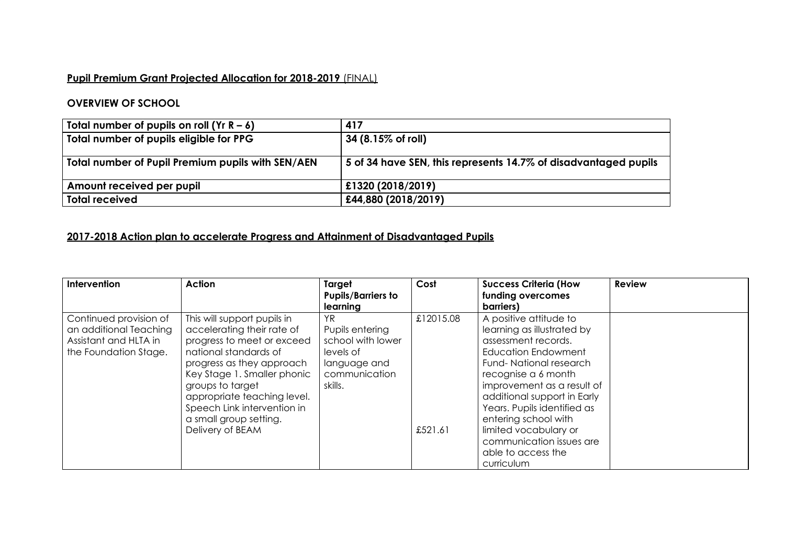## **Pupil Premium Grant Projected Allocation for 2018-2019** (FINAL)

## **OVERVIEW OF SCHOOL**

| Total number of pupils on roll $(Yr R - 6)$       | 417                                                             |
|---------------------------------------------------|-----------------------------------------------------------------|
| Total number of pupils eligible for PPG           | $ 34 (8.15\% \text{ of roll}) $                                 |
| Total number of Pupil Premium pupils with SEN/AEN | 5 of 34 have SEN, this represents 14.7% of disadvantaged pupils |
| Amount received per pupil                         | £1320 (2018/2019)                                               |
| <b>Total received</b>                             | £44,880 (2018/2019)                                             |

## **2017-2018 Action plan to accelerate Progress and Attainment of Disadvantaged Pupils**

| Intervention                                                                                       | Action                                                                                                                                                                                                                                                                                                       | Target<br><b>Pupils/Barriers to</b><br>learning                                                      | Cost                 | <b>Success Criteria (How</b><br>funding overcomes<br>barriers)                                                                                                                                                                                                                                                                                                   | <b>Review</b> |
|----------------------------------------------------------------------------------------------------|--------------------------------------------------------------------------------------------------------------------------------------------------------------------------------------------------------------------------------------------------------------------------------------------------------------|------------------------------------------------------------------------------------------------------|----------------------|------------------------------------------------------------------------------------------------------------------------------------------------------------------------------------------------------------------------------------------------------------------------------------------------------------------------------------------------------------------|---------------|
| Continued provision of<br>an additional Teaching<br>Assistant and HLTA in<br>the Foundation Stage. | This will support pupils in<br>accelerating their rate of<br>progress to meet or exceed<br>national standards of<br>progress as they approach<br>Key Stage 1. Smaller phonic<br>groups to target<br>appropriate teaching level.<br>Speech Link intervention in<br>a small group setting.<br>Delivery of BEAM | YR.<br>Pupils entering<br>school with lower<br>levels of<br>language and<br>communication<br>skills. | £12015.08<br>£521.61 | A positive attitude to<br>learning as illustrated by<br>assessment records.<br>Education Endowment<br>Fund-National research<br>recognise a 6 month<br>improvement as a result of<br>additional support in Early<br>Years. Pupils identified as<br>entering school with<br>limited vocabulary or<br>communication issues are<br>able to access the<br>curriculum |               |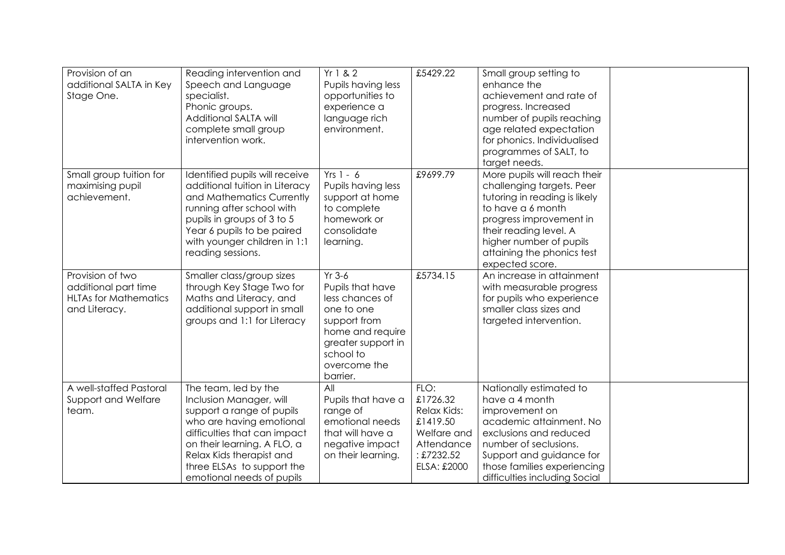| Provision of an<br>additional SALTA in Key<br>Stage One.                                  | Reading intervention and<br>Speech and Language<br>specialist.<br>Phonic groups.<br>Additional SALTA will<br>complete small group<br>intervention work.                                                                                                        | Yr 1 & 2<br>Pupils having less<br>opportunities to<br>experience a<br>language rich<br>environment.                                                              | £5429.22                                                                                            | Small group setting to<br>enhance the<br>achievement and rate of<br>progress. Increased<br>number of pupils reaching<br>age related expectation<br>for phonics. Individualised<br>programmes of SALT, to<br>target needs.                        |  |
|-------------------------------------------------------------------------------------------|----------------------------------------------------------------------------------------------------------------------------------------------------------------------------------------------------------------------------------------------------------------|------------------------------------------------------------------------------------------------------------------------------------------------------------------|-----------------------------------------------------------------------------------------------------|--------------------------------------------------------------------------------------------------------------------------------------------------------------------------------------------------------------------------------------------------|--|
| Small group tuition for<br>maximising pupil<br>achievement.                               | Identified pupils will receive<br>additional tuition in Literacy<br>and Mathematics Currently<br>running after school with<br>pupils in groups of 3 to 5<br>Year 6 pupils to be paired<br>with younger children in 1:1<br>reading sessions.                    | $Yrs 1 - 6$<br>Pupils having less<br>support at home<br>to complete<br>homework or<br>consolidate<br>learning.                                                   | £9699.79                                                                                            | More pupils will reach their<br>challenging targets. Peer<br>tutoring in reading is likely<br>to have a 6 month<br>progress improvement in<br>their reading level. A<br>higher number of pupils<br>attaining the phonics test<br>expected score. |  |
| Provision of two<br>additional part time<br><b>HLTAs for Mathematics</b><br>and Literacy. | Smaller class/group sizes<br>through Key Stage Two for<br>Maths and Literacy, and<br>additional support in small<br>groups and 1:1 for Literacy                                                                                                                | $Yr$ 3-6<br>Pupils that have<br>less chances of<br>one to one<br>support from<br>home and require<br>greater support in<br>school to<br>overcome the<br>barrier. | £5734.15                                                                                            | An increase in attainment<br>with measurable progress<br>for pupils who experience<br>smaller class sizes and<br>targeted intervention.                                                                                                          |  |
| A well-staffed Pastoral<br>Support and Welfare<br>team.                                   | The team, led by the<br>Inclusion Manager, will<br>support a range of pupils<br>who are having emotional<br>difficulties that can impact<br>on their learning. A FLO, a<br>Relax Kids therapist and<br>three ELSAs to support the<br>emotional needs of pupils | All<br>Pupils that have a<br>range of<br>emotional needs<br>that will have a<br>negative impact<br>on their learning.                                            | FLO:<br>£1726.32<br>Relax Kids:<br>£1419.50<br>Welfare and<br>Attendance<br>£7232.52<br>ELSA: £2000 | Nationally estimated to<br>have a 4 month<br>improvement on<br>academic attainment. No<br>exclusions and reduced<br>number of seclusions.<br>Support and guidance for<br>those families experiencing<br>difficulties including Social            |  |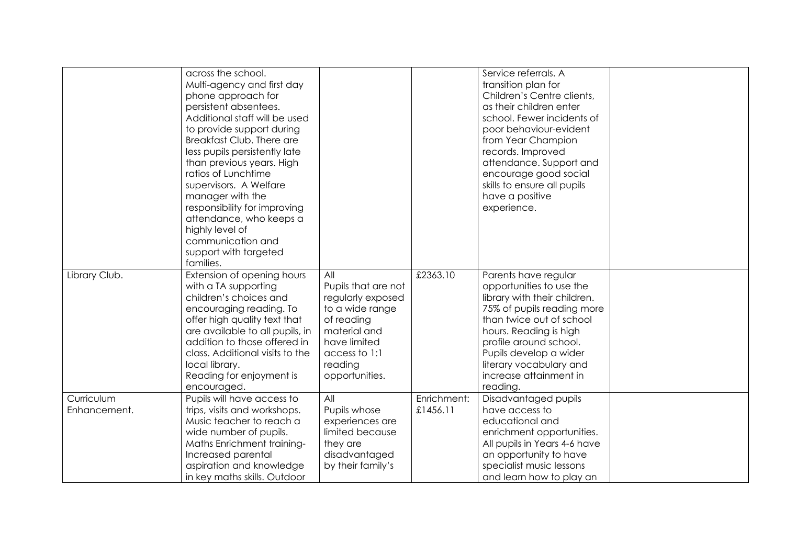|                            | across the school.<br>Multi-agency and first day<br>phone approach for<br>persistent absentees.<br>Additional staff will be used<br>to provide support during<br>Breakfast Club. There are<br>less pupils persistently late<br>than previous years. High<br>ratios of Lunchtime<br>supervisors. A Welfare<br>manager with the<br>responsibility for improving<br>attendance, who keeps a<br>highly level of<br>communication and<br>support with targeted<br>families. |                                                                                                                                                                |                         | Service referrals. A<br>transition plan for<br>Children's Centre clients,<br>as their children enter<br>school. Fewer incidents of<br>poor behaviour-evident<br>from Year Champion<br>records. Improved<br>attendance. Support and<br>encourage good social<br>skills to ensure all pupils<br>have a positive<br>experience. |  |
|----------------------------|------------------------------------------------------------------------------------------------------------------------------------------------------------------------------------------------------------------------------------------------------------------------------------------------------------------------------------------------------------------------------------------------------------------------------------------------------------------------|----------------------------------------------------------------------------------------------------------------------------------------------------------------|-------------------------|------------------------------------------------------------------------------------------------------------------------------------------------------------------------------------------------------------------------------------------------------------------------------------------------------------------------------|--|
| Library Club.              | Extension of opening hours<br>with a TA supporting<br>children's choices and<br>encouraging reading. To<br>offer high quality text that<br>are available to all pupils, in<br>addition to those offered in<br>class. Additional visits to the<br>local library.<br>Reading for enjoyment is<br>encouraged.                                                                                                                                                             | All<br>Pupils that are not<br>regularly exposed<br>to a wide range<br>of reading<br>material and<br>have limited<br>access to 1:1<br>reading<br>opportunities. | £2363.10                | Parents have regular<br>opportunities to use the<br>library with their children.<br>75% of pupils reading more<br>than twice out of school<br>hours. Reading is high<br>profile around school.<br>Pupils develop a wider<br>literary vocabulary and<br>increase attainment in<br>reading.                                    |  |
| Curriculum<br>Enhancement. | Pupils will have access to<br>trips, visits and workshops.<br>Music teacher to reach a<br>wide number of pupils.<br>Maths Enrichment training-<br>Increased parental<br>aspiration and knowledge<br>in key maths skills. Outdoor                                                                                                                                                                                                                                       | All<br>Pupils whose<br>experiences are<br>limited because<br>they are<br>disadvantaged<br>by their family's                                                    | Enrichment:<br>£1456.11 | Disadvantaged pupils<br>have access to<br>educational and<br>enrichment opportunities.<br>All pupils in Years 4-6 have<br>an opportunity to have<br>specialist music lessons<br>and learn how to play an                                                                                                                     |  |